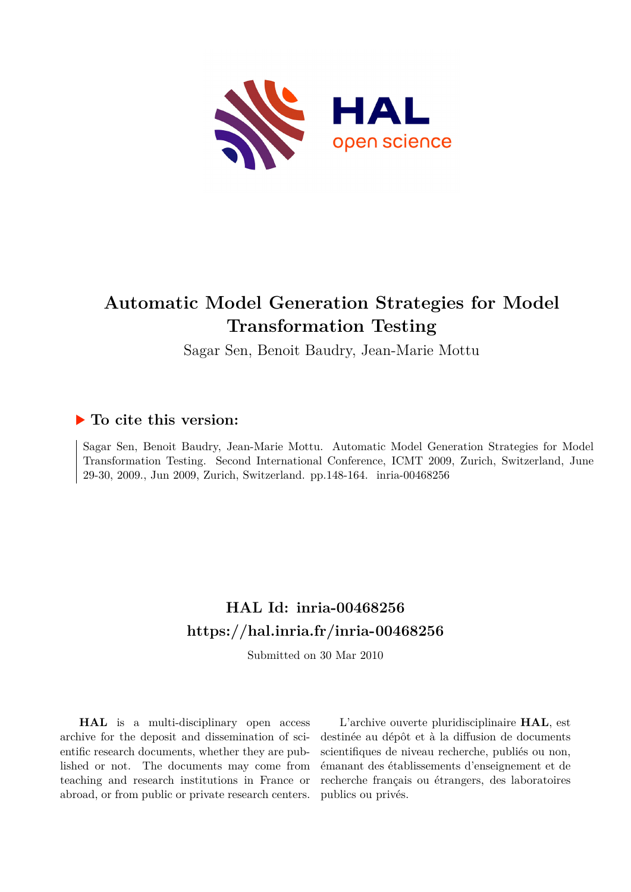

# **Automatic Model Generation Strategies for Model Transformation Testing**

Sagar Sen, Benoit Baudry, Jean-Marie Mottu

## **To cite this version:**

Sagar Sen, Benoit Baudry, Jean-Marie Mottu. Automatic Model Generation Strategies for Model Transformation Testing. Second International Conference, ICMT 2009, Zurich, Switzerland, June 29-30, 2009., Jun 2009, Zurich, Switzerland. pp.148-164. inria-00468256

# **HAL Id: inria-00468256 <https://hal.inria.fr/inria-00468256>**

Submitted on 30 Mar 2010

**HAL** is a multi-disciplinary open access archive for the deposit and dissemination of scientific research documents, whether they are published or not. The documents may come from teaching and research institutions in France or abroad, or from public or private research centers.

L'archive ouverte pluridisciplinaire **HAL**, est destinée au dépôt et à la diffusion de documents scientifiques de niveau recherche, publiés ou non, émanant des établissements d'enseignement et de recherche français ou étrangers, des laboratoires publics ou privés.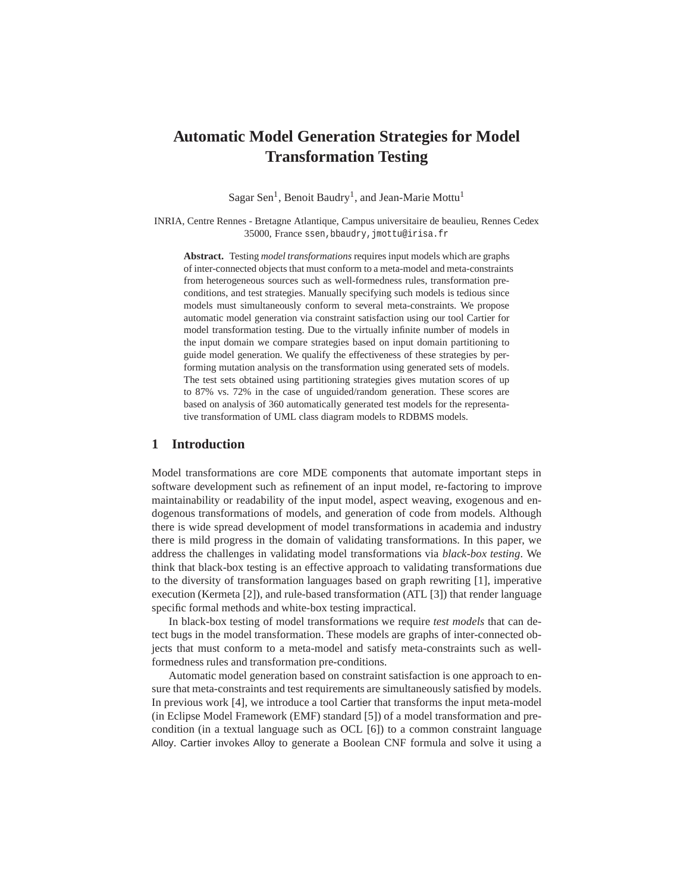## **Automatic Model Generation Strategies for Model Transformation Testing**

Sagar Sen<sup>1</sup>, Benoit Baudry<sup>1</sup>, and Jean-Marie Mottu<sup>1</sup>

INRIA, Centre Rennes - Bretagne Atlantique, Campus universitaire de beaulieu, Rennes Cedex 35000, France ssen, bbaudry, jmottu@irisa.fr

**Abstract.** Testing *model transformations* requires input models which are graphs of inter-connected objects that must conform to a meta-model and meta-constraints from heterogeneous sources such as well-formedness rules, transformation preconditions, and test strategies. Manually specifying such models is tedious since models must simultaneously conform to several meta-constraints. We propose automatic model generation via constraint satisfaction using our tool Cartier for model transformation testing. Due to the virtually infinite number of models in the input domain we compare strategies based on input domain partitioning to guide model generation. We qualify the effectiveness of these strategies by performing mutation analysis on the transformation using generated sets of models. The test sets obtained using partitioning strategies gives mutation scores of up to 87% vs. 72% in the case of unguided/random generation. These scores are based on analysis of 360 automatically generated test models for the representative transformation of UML class diagram models to RDBMS models.

## **1 Introduction**

Model transformations are core MDE components that automate important steps in software development such as refinement of an input model, re-factoring to improve maintainability or readability of the input model, aspect weaving, exogenous and endogenous transformations of models, and generation of code from models. Although there is wide spread development of model transformations in academia and industry there is mild progress in the domain of validating transformations. In this paper, we address the challenges in validating model transformations via *black-box testing*. We think that black-box testing is an effective approach to validating transformations due to the diversity of transformation languages based on graph rewriting [1], imperative execution (Kermeta [2]), and rule-based transformation (ATL [3]) that render language specific formal methods and white-box testing impractical.

In black-box testing of model transformations we require *test models* that can detect bugs in the model transformation. These models are graphs of inter-connected objects that must conform to a meta-model and satisfy meta-constraints such as wellformedness rules and transformation pre-conditions.

Automatic model generation based on constraint satisfaction is one approach to ensure that meta-constraints and test requirements are simultaneously satisfied by models. In previous work [4], we introduce a tool Cartier that transforms the input meta-model (in Eclipse Model Framework (EMF) standard [5]) of a model transformation and precondition (in a textual language such as OCL [6]) to a common constraint language Alloy. Cartier invokes Alloy to generate a Boolean CNF formula and solve it using a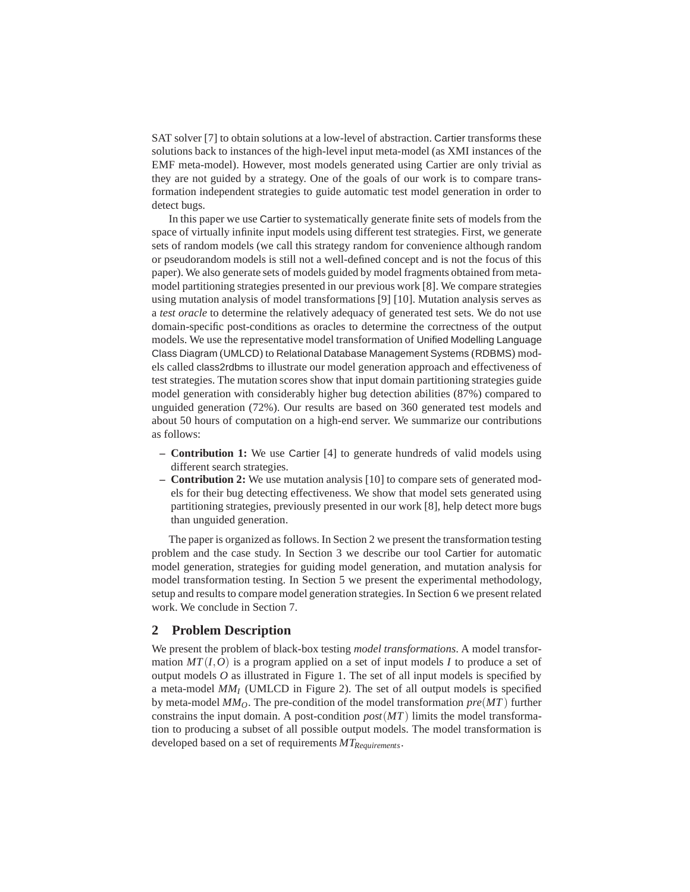SAT solver [7] to obtain solutions at a low-level of abstraction. Cartier transforms these solutions back to instances of the high-level input meta-model (as XMI instances of the EMF meta-model). However, most models generated using Cartier are only trivial as they are not guided by a strategy. One of the goals of our work is to compare transformation independent strategies to guide automatic test model generation in order to detect bugs.

In this paper we use Cartier to systematically generate finite sets of models from the space of virtually infinite input models using different test strategies. First, we generate sets of random models (we call this strategy random for convenience although random or pseudorandom models is still not a well-defined concept and is not the focus of this paper). We also generate sets of models guided by model fragments obtained from metamodel partitioning strategies presented in our previous work [8]. We compare strategies using mutation analysis of model transformations [9] [10]. Mutation analysis serves as a *test oracle* to determine the relatively adequacy of generated test sets. We do not use domain-specific post-conditions as oracles to determine the correctness of the output models. We use the representative model transformation of Unified Modelling Language Class Diagram (UMLCD) to Relational Database Management Systems (RDBMS) models called class2rdbms to illustrate our model generation approach and effectiveness of test strategies. The mutation scores show that input domain partitioning strategies guide model generation with considerably higher bug detection abilities (87%) compared to unguided generation (72%). Our results are based on 360 generated test models and about 50 hours of computation on a high-end server. We summarize our contributions as follows:

- **Contribution 1:** We use Cartier [4] to generate hundreds of valid models using different search strategies.
- **Contribution 2:** We use mutation analysis [10] to compare sets of generated models for their bug detecting effectiveness. We show that model sets generated using partitioning strategies, previously presented in our work [8], help detect more bugs than unguided generation.

The paper is organized as follows. In Section 2 we present the transformation testing problem and the case study. In Section 3 we describe our tool Cartier for automatic model generation, strategies for guiding model generation, and mutation analysis for model transformation testing. In Section 5 we present the experimental methodology, setup and results to compare model generation strategies. In Section 6 we present related work. We conclude in Section 7.

## **2 Problem Description**

We present the problem of black-box testing *model transformations*. A model transformation  $MT(I, O)$  is a program applied on a set of input models *I* to produce a set of output models *O* as illustrated in Figure 1. The set of all input models is specified by a meta-model *MM<sup>I</sup>* (UMLCD in Figure 2). The set of all output models is specified by meta-model *MMO*. The pre-condition of the model transformation *pre*(*MT* ) further constrains the input domain. A post-condition  $post(MT)$  limits the model transformation to producing a subset of all possible output models. The model transformation is developed based on a set of requirements *MTRequirements*.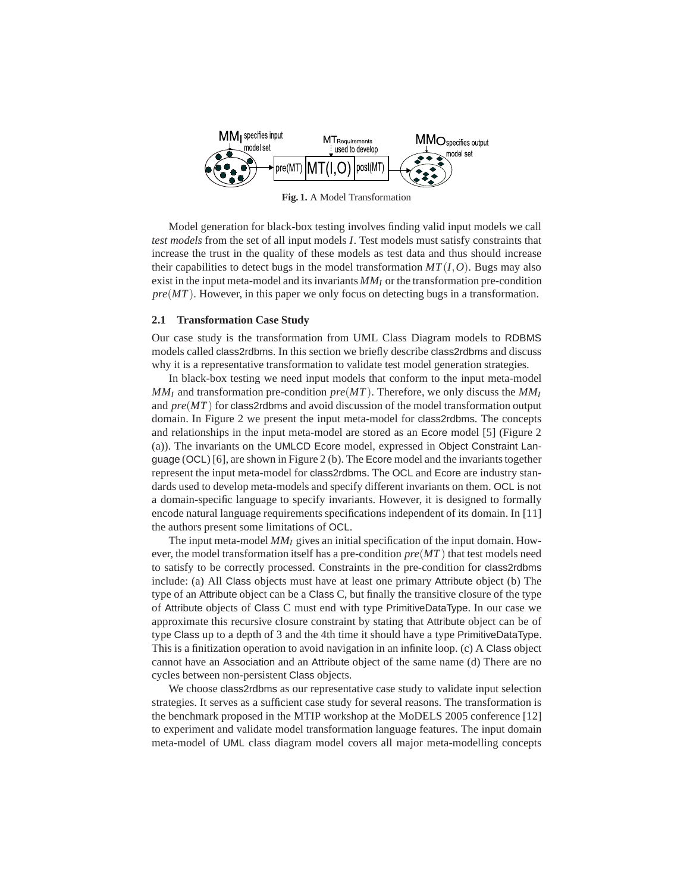

**Fig. 1.** A Model Transformation

Model generation for black-box testing involves finding valid input models we call *test models* from the set of all input models *I*. Test models must satisfy constraints that increase the trust in the quality of these models as test data and thus should increase their capabilities to detect bugs in the model transformation  $MT(I, O)$ . Bugs may also exist in the input meta-model and its invariants *MM<sup>I</sup>* or the transformation pre-condition *pre*(*MT*). However, in this paper we only focus on detecting bugs in a transformation.

#### **2.1 Transformation Case Study**

Our case study is the transformation from UML Class Diagram models to RDBMS models called class2rdbms. In this section we briefly describe class2rdbms and discuss why it is a representative transformation to validate test model generation strategies.

In black-box testing we need input models that conform to the input meta-model  $MM_I$  and transformation pre-condition  $pre(MT)$ . Therefore, we only discuss the  $MM_I$ and *pre*(*MT*) for class2rdbms and avoid discussion of the model transformation output domain. In Figure 2 we present the input meta-model for class2rdbms. The concepts and relationships in the input meta-model are stored as an Ecore model [5] (Figure 2 (a)). The invariants on the UMLCD Ecore model, expressed in Object Constraint Language (OCL) [6], are shown in Figure 2 (b). The Ecore model and the invariants together represent the input meta-model for class2rdbms. The OCL and Ecore are industry standards used to develop meta-models and specify different invariants on them. OCL is not a domain-specific language to specify invariants. However, it is designed to formally encode natural language requirements specifications independent of its domain. In [11] the authors present some limitations of OCL.

The input meta-model *MM<sup>I</sup>* gives an initial specification of the input domain. However, the model transformation itself has a pre-condition *pre*(*MT*) that test models need to satisfy to be correctly processed. Constraints in the pre-condition for class2rdbms include: (a) All Class objects must have at least one primary Attribute object (b) The type of an Attribute object can be a Class C, but finally the transitive closure of the type of Attribute objects of Class C must end with type PrimitiveDataType. In our case we approximate this recursive closure constraint by stating that Attribute object can be of type Class up to a depth of 3 and the 4th time it should have a type PrimitiveDataType. This is a finitization operation to avoid navigation in an infinite loop. (c) A Class object cannot have an Association and an Attribute object of the same name (d) There are no cycles between non-persistent Class objects.

We choose class2rdbms as our representative case study to validate input selection strategies. It serves as a sufficient case study for several reasons. The transformation is the benchmark proposed in the MTIP workshop at the MoDELS 2005 conference [12] to experiment and validate model transformation language features. The input domain meta-model of UML class diagram model covers all major meta-modelling concepts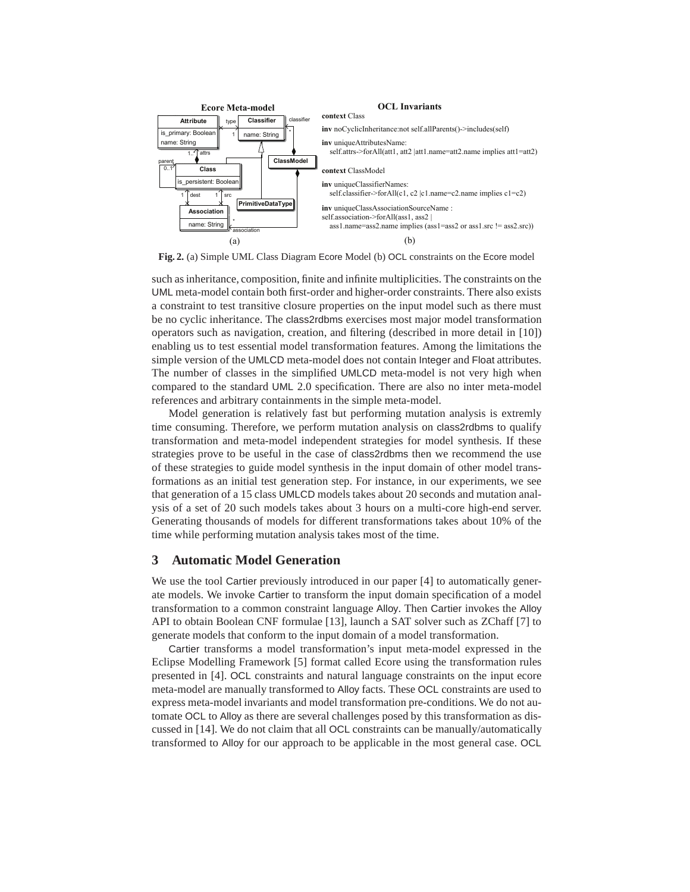

**Fig. 2.** (a) Simple UML Class Diagram Ecore Model (b) OCL constraints on the Ecore model

such as inheritance, composition, finite and infinite multiplicities. The constraints on the UML meta-model contain both first-order and higher-order constraints. There also exists a constraint to test transitive closure properties on the input model such as there must be no cyclic inheritance. The class2rdbms exercises most major model transformation operators such as navigation, creation, and filtering (described in more detail in [10]) enabling us to test essential model transformation features. Among the limitations the simple version of the UMLCD meta-model does not contain Integer and Float attributes. The number of classes in the simplified UMLCD meta-model is not very high when compared to the standard UML 2.0 specification. There are also no inter meta-model references and arbitrary containments in the simple meta-model.

Model generation is relatively fast but performing mutation analysis is extremly time consuming. Therefore, we perform mutation analysis on class2rdbms to qualify transformation and meta-model independent strategies for model synthesis. If these strategies prove to be useful in the case of class2rdbms then we recommend the use of these strategies to guide model synthesis in the input domain of other model transformations as an initial test generation step. For instance, in our experiments, we see that generation of a 15 class UMLCD models takes about 20 seconds and mutation analysis of a set of 20 such models takes about 3 hours on a multi-core high-end server. Generating thousands of models for different transformations takes about 10% of the time while performing mutation analysis takes most of the time.

## **3 Automatic Model Generation**

We use the tool Cartier previously introduced in our paper [4] to automatically generate models. We invoke Cartier to transform the input domain specification of a model transformation to a common constraint language Alloy. Then Cartier invokes the Alloy API to obtain Boolean CNF formulae [13], launch a SAT solver such as ZChaff [7] to generate models that conform to the input domain of a model transformation.

Cartier transforms a model transformation's input meta-model expressed in the Eclipse Modelling Framework [5] format called Ecore using the transformation rules presented in [4]. OCL constraints and natural language constraints on the input ecore meta-model are manually transformed to Alloy facts. These OCL constraints are used to express meta-model invariants and model transformation pre-conditions. We do not automate OCL to Alloy as there are several challenges posed by this transformation as discussed in [14]. We do not claim that all OCL constraints can be manually/automatically transformed to Alloy for our approach to be applicable in the most general case. OCL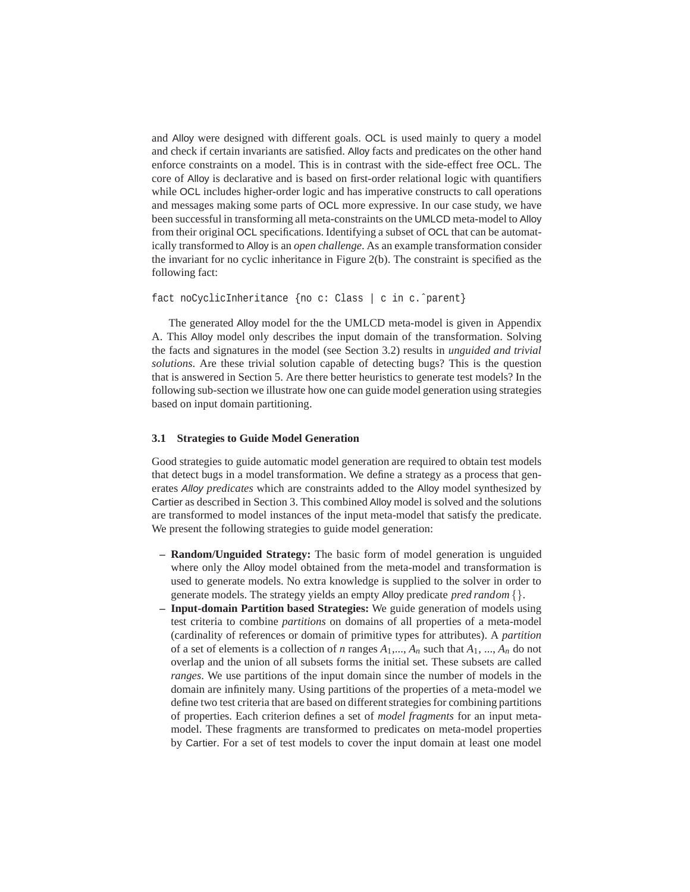and Alloy were designed with different goals. OCL is used mainly to query a model and check if certain invariants are satisfied. Alloy facts and predicates on the other hand enforce constraints on a model. This is in contrast with the side-effect free OCL. The core of Alloy is declarative and is based on first-order relational logic with quantifiers while OCL includes higher-order logic and has imperative constructs to call operations and messages making some parts of OCL more expressive. In our case study, we have been successful in transforming all meta-constraints on the UMLCD meta-model to Alloy from their original OCL specifications. Identifying a subset of OCL that can be automatically transformed to Alloy is an *open challenge*. As an example transformation consider the invariant for no cyclic inheritance in Figure 2(b). The constraint is specified as the following fact:

fact noCyclicInheritance {no c: Class | c in c.ˆparent}

The generated Alloy model for the the UMLCD meta-model is given in Appendix A. This Alloy model only describes the input domain of the transformation. Solving the facts and signatures in the model (see Section 3.2) results in *unguided and trivial solutions*. Are these trivial solution capable of detecting bugs? This is the question that is answered in Section 5. Are there better heuristics to generate test models? In the following sub-section we illustrate how one can guide model generation using strategies based on input domain partitioning.

#### **3.1 Strategies to Guide Model Generation**

Good strategies to guide automatic model generation are required to obtain test models that detect bugs in a model transformation. We define a strategy as a process that generates Alloy *predicates* which are constraints added to the Alloy model synthesized by Cartier as described in Section 3. This combined Alloy model is solved and the solutions are transformed to model instances of the input meta-model that satisfy the predicate. We present the following strategies to guide model generation:

- **Random/Unguided Strategy:** The basic form of model generation is unguided where only the Alloy model obtained from the meta-model and transformation is used to generate models. No extra knowledge is supplied to the solver in order to generate models. The strategy yields an empty Alloy predicate *pred random* {}.
- **Input-domain Partition based Strategies:** We guide generation of models using test criteria to combine *partitions* on domains of all properties of a meta-model (cardinality of references or domain of primitive types for attributes). A *partition* of a set of elements is a collection of *n* ranges *A*1,..., *A<sup>n</sup>* such that *A*1, ..., *A<sup>n</sup>* do not overlap and the union of all subsets forms the initial set. These subsets are called *ranges*. We use partitions of the input domain since the number of models in the domain are infinitely many. Using partitions of the properties of a meta-model we define two test criteria that are based on different strategies for combining partitions of properties. Each criterion defines a set of *model fragments* for an input metamodel. These fragments are transformed to predicates on meta-model properties by Cartier. For a set of test models to cover the input domain at least one model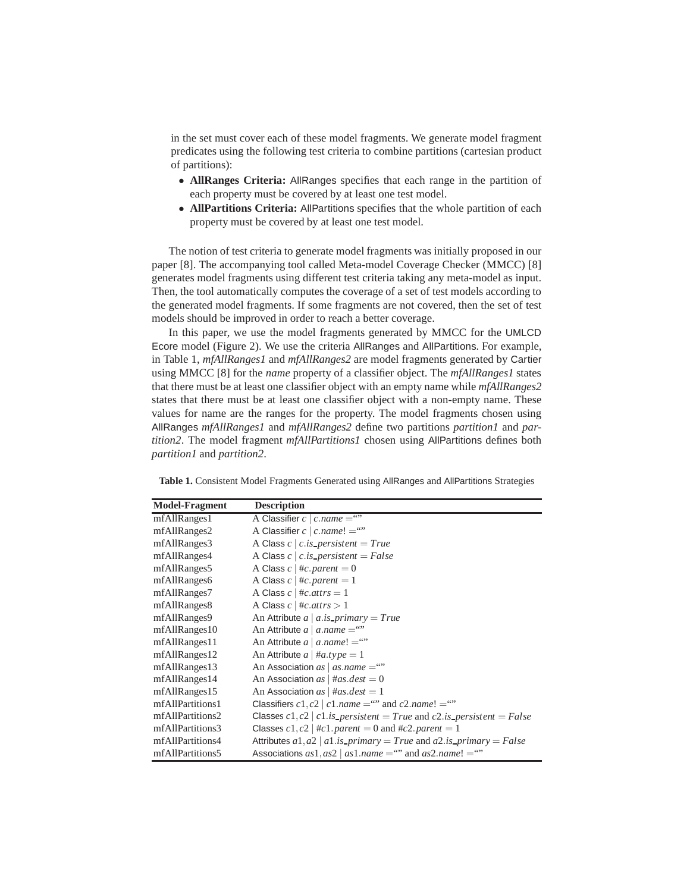in the set must cover each of these model fragments. We generate model fragment predicates using the following test criteria to combine partitions (cartesian product of partitions):

- **AllRanges Criteria:** AllRanges specifies that each range in the partition of each property must be covered by at least one test model.
- **AllPartitions Criteria:** AllPartitions specifies that the whole partition of each property must be covered by at least one test model.

The notion of test criteria to generate model fragments was initially proposed in our paper [8]. The accompanying tool called Meta-model Coverage Checker (MMCC) [8] generates model fragments using different test criteria taking any meta-model as input. Then, the tool automatically computes the coverage of a set of test models according to the generated model fragments. If some fragments are not covered, then the set of test models should be improved in order to reach a better coverage.

In this paper, we use the model fragments generated by MMCC for the UMLCD Ecore model (Figure 2). We use the criteria AllRanges and AllPartitions. For example, in Table 1, *mfAllRanges1* and *mfAllRanges2* are model fragments generated by Cartier using MMCC [8] for the *name* property of a classifier object. The *mfAllRanges1* states that there must be at least one classifier object with an empty name while *mfAllRanges2* states that there must be at least one classifier object with a non-empty name. These values for name are the ranges for the property. The model fragments chosen using AllRanges *mfAllRanges1* and *mfAllRanges2* define two partitions *partition1* and *partition2*. The model fragment *mfAllPartitions1* chosen using AllPartitions defines both *partition1* and *partition2*.

| <b>Model-Fragment</b> | <b>Description</b>                                                             |
|-----------------------|--------------------------------------------------------------------------------|
| mfAllRanges1          | A Classifier $c \mid c.name = "$                                               |
| mfAllRanges2          | A Classifier c   c.name! = ""                                                  |
| mfAllRanges3          | A Class c   c.is_persistent = $True$                                           |
| mfAllRanges4          | A Class c   c.is_persistent = False                                            |
| mfAllRanges5          | A Class $c \mid \#c.parent = 0$                                                |
| mfAllRanges6          | A Class $c \mid \#c.parent = 1$                                                |
| mfAllRanges7          | A Class $c \mid \#c. \mathit{attrs} = 1$                                       |
| mfAllRanges8          | A Class $c \mid \#c. \text{attr} s > 1$                                        |
| mfAllRanges9          | An Attribute $a \mid a.is\_primary = True$                                     |
| mfAllRanges10         | An Attribute a $ $ a.name = ""                                                 |
| mfAllRanges11         | An Attribute $a \mid a.name! = "$                                              |
| mfAllRanges12         | An Attribute $a \mid \#a.type = 1$                                             |
| mfAllRanges13         | An Association as $ $ as name = ""                                             |
| mfAllRanges14         | An Association as $ $ #as.dest = 0                                             |
| mfAllRanges15         | An Association as $ $ #as.dest = 1                                             |
| mfAllPartitions1      | Classifiers c1, c2   c1.name = "" and c2.name! = ""                            |
| mfAllPartitions2      | Classes c1, c2   c1.is persistent = True and c2.is persistent = False          |
| mfAllPartitions3      | Classes c1, c2   #c1. parent = 0 and #c2. parent = 1                           |
| mfAllPartitions4      | Attributes $a1$ , $a2 \mid a1$ .is_primary = True and $a2$ .is_primary = False |
| mfAllPartitions5      | Associations $as1, as2   as1.name = "$ and $as2.name != "$                     |

**Table 1.** Consistent Model Fragments Generated using AllRanges and AllPartitions Strategies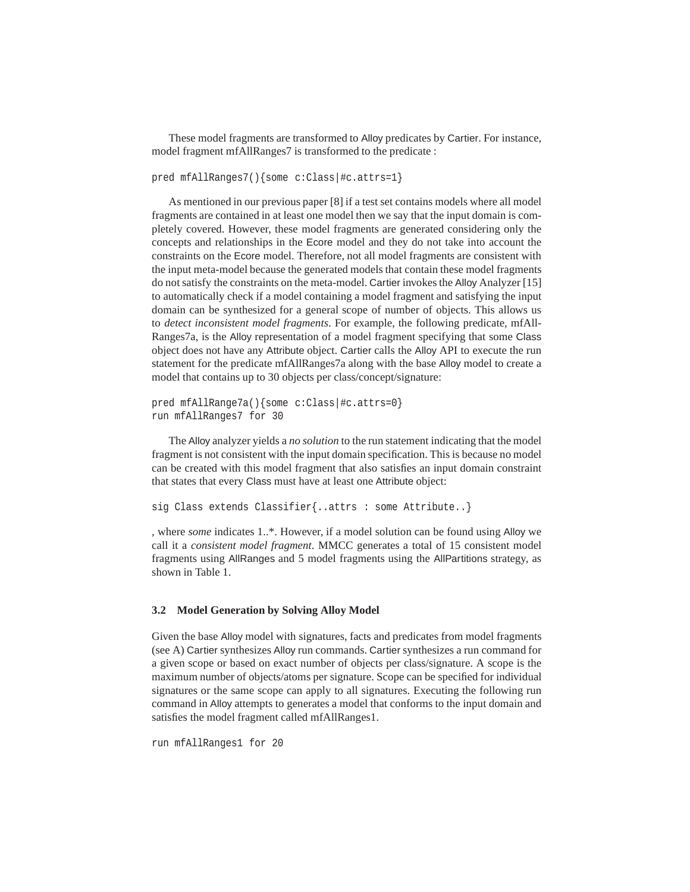These model fragments are transformed to Alloy predicates by Cartier. For instance, model fragment mfAllRanges7 is transformed to the predicate :

```
pred mfAllRanges7(){some c:Class|#c.attrs=1}
```
As mentioned in our previous paper [8] if a test set contains models where all model fragments are contained in at least one model then we say that the input domain is completely covered. However, these model fragments are generated considering only the concepts and relationships in the Ecore model and they do not take into account the constraints on the Ecore model. Therefore, not all model fragments are consistent with the input meta-model because the generated models that contain these model fragments do not satisfy the constraints on the meta-model. Cartier invokes the Alloy Analyzer [15] to automatically check if a model containing a model fragment and satisfying the input domain can be synthesized for a general scope of number of objects. This allows us to *detect inconsistent model fragments*. For example, the following predicate, mfAll-Ranges7a, is the Alloy representation of a model fragment specifying that some Class object does not have any Attribute object. Cartier calls the Alloy API to execute the run statement for the predicate mfAllRanges7a along with the base Alloy model to create a model that contains up to 30 objects per class/concept/signature:

```
pred mfAllRange7a(){some c:Class|#c.attrs=0}
run mfAllRanges7 for 30
```
The Alloy analyzer yields a *no solution* to the run statement indicating that the model fragment is not consistent with the input domain specification. This is because no model can be created with this model fragment that also satisfies an input domain constraint that states that every Class must have at least one Attribute object:

sig Class extends Classifier{..attrs : some Attribute..}

, where *some* indicates 1..\*. However, if a model solution can be found using Alloy we call it a *consistent model fragment*. MMCC generates a total of 15 consistent model fragments using AllRanges and 5 model fragments using the AllPartitions strategy, as shown in Table 1.

## **3.2 Model Generation by Solving Alloy Model**

Given the base Alloy model with signatures, facts and predicates from model fragments (see A) Cartier synthesizes Alloy run commands. Cartier synthesizes a run command for a given scope or based on exact number of objects per class/signature. A scope is the maximum number of objects/atoms per signature. Scope can be specified for individual signatures or the same scope can apply to all signatures. Executing the following run command in Alloy attempts to generates a model that conforms to the input domain and satisfies the model fragment called mfAllRanges1.

```
run mfAllRanges1 for 20
```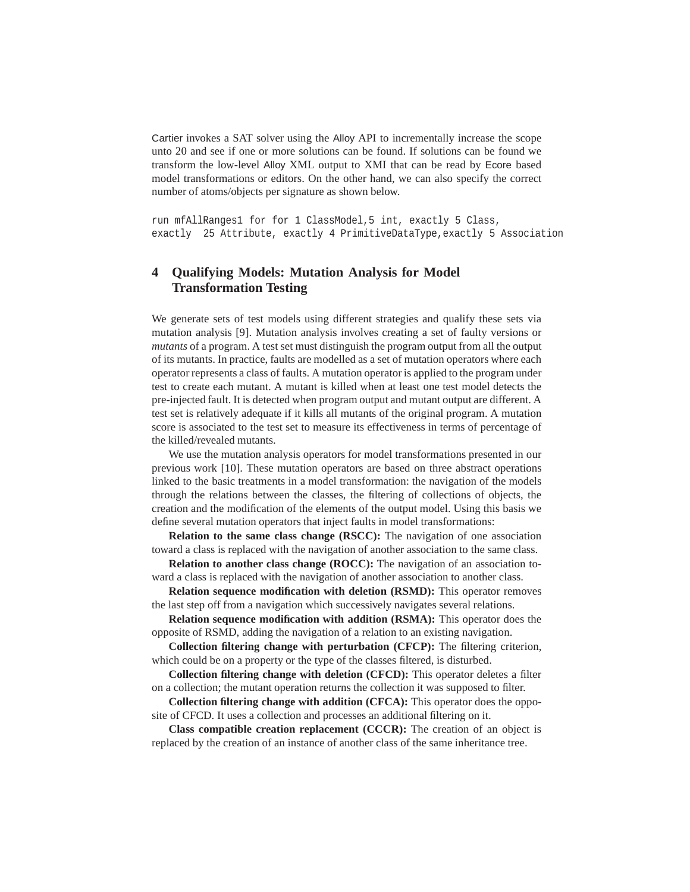Cartier invokes a SAT solver using the Alloy API to incrementally increase the scope unto 20 and see if one or more solutions can be found. If solutions can be found we transform the low-level Alloy XML output to XMI that can be read by Ecore based model transformations or editors. On the other hand, we can also specify the correct number of atoms/objects per signature as shown below.

run mfAllRanges1 for for 1 ClassModel,5 int, exactly 5 Class, exactly 25 Attribute, exactly 4 PrimitiveDataType,exactly 5 Association

## **4 Qualifying Models: Mutation Analysis for Model Transformation Testing**

We generate sets of test models using different strategies and qualify these sets via mutation analysis [9]. Mutation analysis involves creating a set of faulty versions or *mutants* of a program. A test set must distinguish the program output from all the output of its mutants. In practice, faults are modelled as a set of mutation operators where each operator represents a class of faults. A mutation operator is applied to the program under test to create each mutant. A mutant is killed when at least one test model detects the pre-injected fault. It is detected when program output and mutant output are different. A test set is relatively adequate if it kills all mutants of the original program. A mutation score is associated to the test set to measure its effectiveness in terms of percentage of the killed/revealed mutants.

We use the mutation analysis operators for model transformations presented in our previous work [10]. These mutation operators are based on three abstract operations linked to the basic treatments in a model transformation: the navigation of the models through the relations between the classes, the filtering of collections of objects, the creation and the modification of the elements of the output model. Using this basis we define several mutation operators that inject faults in model transformations:

**Relation to the same class change (RSCC):** The navigation of one association toward a class is replaced with the navigation of another association to the same class.

**Relation to another class change (ROCC):** The navigation of an association toward a class is replaced with the navigation of another association to another class.

**Relation sequence modification with deletion (RSMD):** This operator removes the last step off from a navigation which successively navigates several relations.

**Relation sequence modification with addition (RSMA):** This operator does the opposite of RSMD, adding the navigation of a relation to an existing navigation.

**Collection filtering change with perturbation (CFCP):** The filtering criterion, which could be on a property or the type of the classes filtered, is disturbed.

**Collection filtering change with deletion (CFCD):** This operator deletes a filter on a collection; the mutant operation returns the collection it was supposed to filter.

**Collection filtering change with addition (CFCA):** This operator does the opposite of CFCD. It uses a collection and processes an additional filtering on it.

**Class compatible creation replacement (CCCR):** The creation of an object is replaced by the creation of an instance of another class of the same inheritance tree.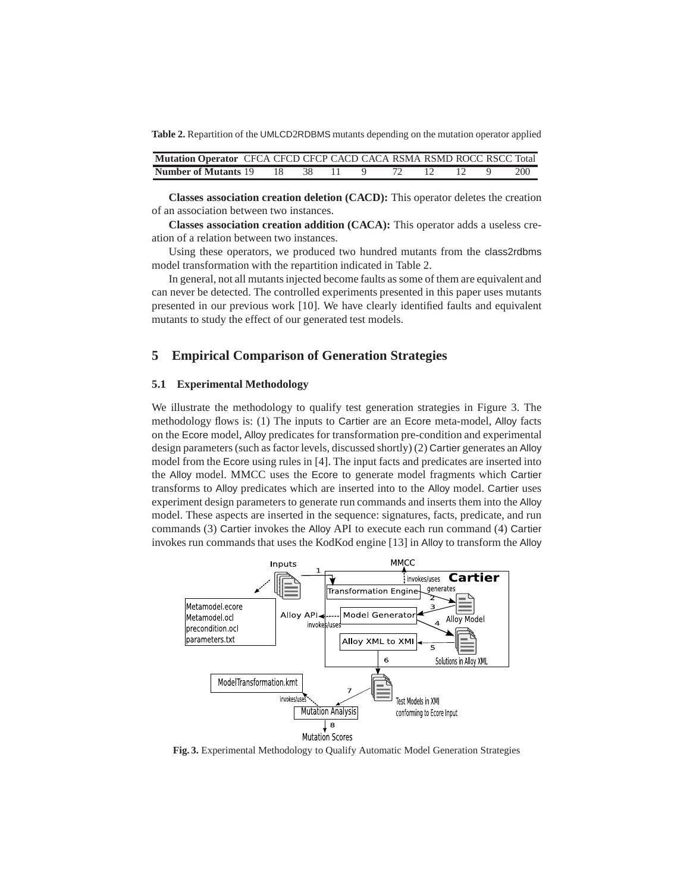**Table 2.** Repartition of the UMLCD2RDBMS mutants depending on the mutation operator applied

| Mutation Operator CFCA CFCD CFCP CACD CACA RSMA RSMD ROCC RSCC Total |  |  |  |  |     |
|----------------------------------------------------------------------|--|--|--|--|-----|
| <b>Number of Mutants 19</b>                                          |  |  |  |  | 200 |

**Classes association creation deletion (CACD):** This operator deletes the creation of an association between two instances.

**Classes association creation addition (CACA):** This operator adds a useless creation of a relation between two instances.

Using these operators, we produced two hundred mutants from the class2rdbms model transformation with the repartition indicated in Table 2.

In general, not all mutants injected become faults as some of them are equivalent and can never be detected. The controlled experiments presented in this paper uses mutants presented in our previous work [10]. We have clearly identified faults and equivalent mutants to study the effect of our generated test models.

## **5 Empirical Comparison of Generation Strategies**

#### **5.1 Experimental Methodology**

We illustrate the methodology to qualify test generation strategies in Figure 3. The methodology flows is: (1) The inputs to Cartier are an Ecore meta-model, Alloy facts on the Ecore model, Alloy predicates for transformation pre-condition and experimental design parameters (such as factor levels, discussed shortly) (2) Cartier generates an Alloy model from the Ecore using rules in [4]. The input facts and predicates are inserted into the Alloy model. MMCC uses the Ecore to generate model fragments which Cartier transforms to Alloy predicates which are inserted into to the Alloy model. Cartier uses experiment design parameters to generate run commands and inserts them into the Alloy model. These aspects are inserted in the sequence: signatures, facts, predicate, and run commands (3) Cartier invokes the Alloy API to execute each run command (4) Cartier invokes run commands that uses the KodKod engine [13] in Alloy to transform the Alloy



**Fig. 3.** Experimental Methodology to Qualify Automatic Model Generation Strategies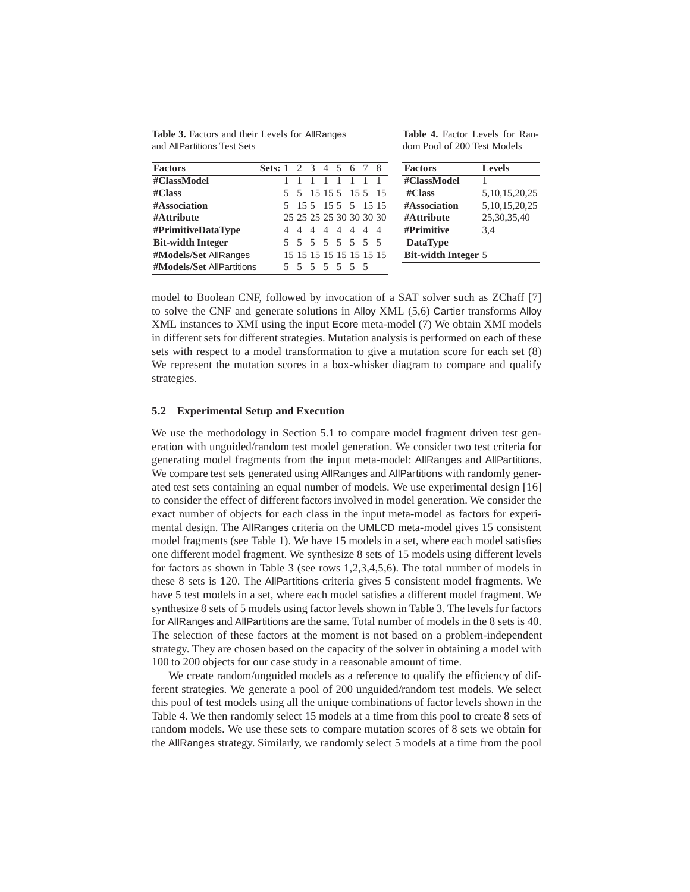**Table 3.** Factors and their Levels for AllRanges and AllPartitions Test Sets

**Table 4.** Factor Levels for Random Pool of 200 Test Models

| <b>Factors</b>            | Sets: 1 2 3 4 5 6 7 8 |  |  |                         |             |                         | <b>Factors</b>             | <b>Levels</b>     |
|---------------------------|-----------------------|--|--|-------------------------|-------------|-------------------------|----------------------------|-------------------|
| #ClassModel               |                       |  |  |                         | $1 \t1 \t1$ |                         | #ClassModel                |                   |
| $\#Class$                 |                       |  |  |                         |             | 5 5 15 15 5 15 5 15     | $\#Class$                  | 5, 10, 15, 20, 25 |
| #Association              |                       |  |  |                         |             | 5 15 5 15 5 5 15 15     | #Association               | 5, 10, 15, 20, 25 |
| #Attribute                |                       |  |  |                         |             | 25 25 25 25 30 30 30 30 | #Attribute                 | 25,30,35,40       |
| #PrimitiveDataType        |                       |  |  | 4 4 4 4 4 4 4 4         |             |                         | #Primitive                 | 3.4               |
| <b>Bit-width Integer</b>  |                       |  |  | 5 5 5 5 5 5 5 5 5       |             |                         | <b>DataType</b>            |                   |
| #Models/Set AllRanges     |                       |  |  | 15 15 15 15 15 15 15 15 |             |                         | <b>Bit-width Integer 5</b> |                   |
| #Models/Set AllPartitions |                       |  |  | 5555555                 |             |                         |                            |                   |

model to Boolean CNF, followed by invocation of a SAT solver such as ZChaff [7] to solve the CNF and generate solutions in Alloy XML (5,6) Cartier transforms Alloy XML instances to XMI using the input Ecore meta-model (7) We obtain XMI models in different sets for different strategies. Mutation analysis is performed on each of these sets with respect to a model transformation to give a mutation score for each set (8) We represent the mutation scores in a box-whisker diagram to compare and qualify strategies.

#### **5.2 Experimental Setup and Execution**

We use the methodology in Section 5.1 to compare model fragment driven test generation with unguided/random test model generation. We consider two test criteria for generating model fragments from the input meta-model: AllRanges and AllPartitions. We compare test sets generated using AllRanges and AllPartitions with randomly generated test sets containing an equal number of models. We use experimental design [16] to consider the effect of different factors involved in model generation. We consider the exact number of objects for each class in the input meta-model as factors for experimental design. The AllRanges criteria on the UMLCD meta-model gives 15 consistent model fragments (see Table 1). We have 15 models in a set, where each model satisfies one different model fragment. We synthesize 8 sets of 15 models using different levels for factors as shown in Table 3 (see rows 1,2,3,4,5,6). The total number of models in these 8 sets is 120. The AllPartitions criteria gives 5 consistent model fragments. We have 5 test models in a set, where each model satisfies a different model fragment. We synthesize 8 sets of 5 models using factor levels shown in Table 3. The levels for factors for AllRanges and AllPartitions are the same. Total number of models in the 8 sets is 40. The selection of these factors at the moment is not based on a problem-independent strategy. They are chosen based on the capacity of the solver in obtaining a model with 100 to 200 objects for our case study in a reasonable amount of time.

We create random/unguided models as a reference to qualify the efficiency of different strategies. We generate a pool of 200 unguided/random test models. We select this pool of test models using all the unique combinations of factor levels shown in the Table 4. We then randomly select 15 models at a time from this pool to create 8 sets of random models. We use these sets to compare mutation scores of 8 sets we obtain for the AllRanges strategy. Similarly, we randomly select 5 models at a time from the pool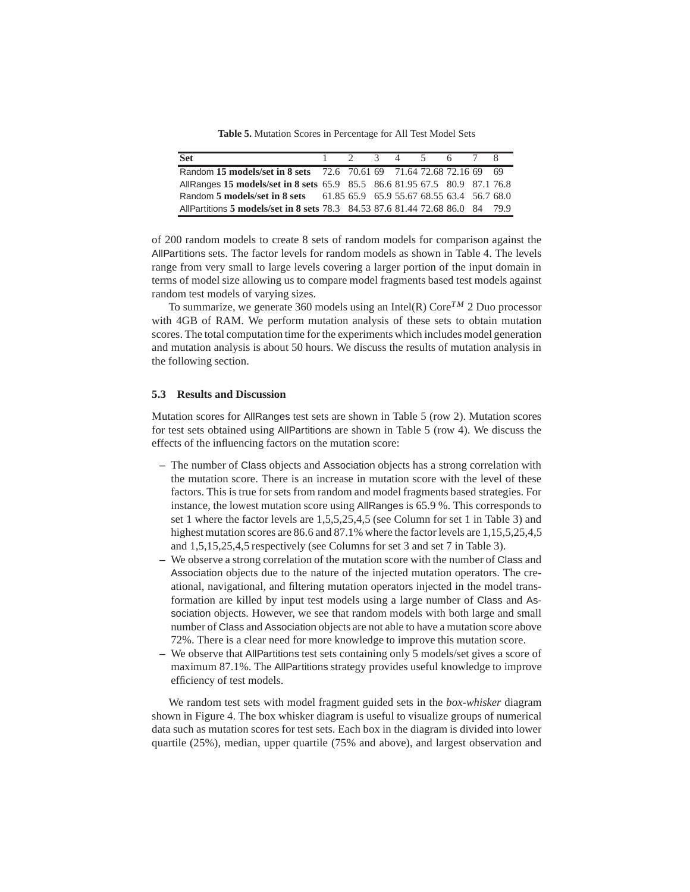**Table 5.** Mutation Scores in Percentage for All Test Model Sets

| Set                                                                           | $2 \quad 3 \quad 4 \quad 5$ |  | 6 |  |
|-------------------------------------------------------------------------------|-----------------------------|--|---|--|
| Random 15 models/set in 8 sets 72.6 70.61 69 71.64 72.68 72.16 69 69          |                             |  |   |  |
| AllRanges 15 models/set in 8 sets 65.9 85.5 86.6 81.95 67.5 80.9 87.1 76.8    |                             |  |   |  |
| Random 5 models/set in 8 sets 61.85 65.9 65.9 55.67 68.55 63.4 56.7 68.0      |                             |  |   |  |
| AllPartitions 5 models/set in 8 sets 78.3 84.53 87.6 81.44 72.68 86.0 84 79.9 |                             |  |   |  |

of 200 random models to create 8 sets of random models for comparison against the AllPartitions sets. The factor levels for random models as shown in Table 4. The levels range from very small to large levels covering a larger portion of the input domain in terms of model size allowing us to compare model fragments based test models against random test models of varying sizes.

To summarize, we generate 360 models using an Intel(R)  $\text{Core}^{TM}$  2 Duo processor with 4GB of RAM. We perform mutation analysis of these sets to obtain mutation scores. The total computation time for the experiments which includes model generation and mutation analysis is about 50 hours. We discuss the results of mutation analysis in the following section.

#### **5.3 Results and Discussion**

Mutation scores for AllRanges test sets are shown in Table 5 (row 2). Mutation scores for test sets obtained using AllPartitions are shown in Table 5 (row 4). We discuss the effects of the influencing factors on the mutation score:

- **–** The number of Class objects and Association objects has a strong correlation with the mutation score. There is an increase in mutation score with the level of these factors. This is true for sets from random and model fragments based strategies. For instance, the lowest mutation score using AllRanges is 65.9 %. This corresponds to set 1 where the factor levels are 1,5,5,25,4,5 (see Column for set 1 in Table 3) and highest mutation scores are 86.6 and 87.1% where the factor levels are 1,15,5,25,4,5 and 1,5,15,25,4,5 respectively (see Columns for set 3 and set 7 in Table 3).
- **–** We observe a strong correlation of the mutation score with the number of Class and Association objects due to the nature of the injected mutation operators. The creational, navigational, and filtering mutation operators injected in the model transformation are killed by input test models using a large number of Class and Association objects. However, we see that random models with both large and small number of Class and Association objects are not able to have a mutation score above 72%. There is a clear need for more knowledge to improve this mutation score.
- **–** We observe that AllPartitions test sets containing only 5 models/set gives a score of maximum 87.1%. The AllPartitions strategy provides useful knowledge to improve efficiency of test models.

We random test sets with model fragment guided sets in the *box-whisker* diagram shown in Figure 4. The box whisker diagram is useful to visualize groups of numerical data such as mutation scores for test sets. Each box in the diagram is divided into lower quartile (25%), median, upper quartile (75% and above), and largest observation and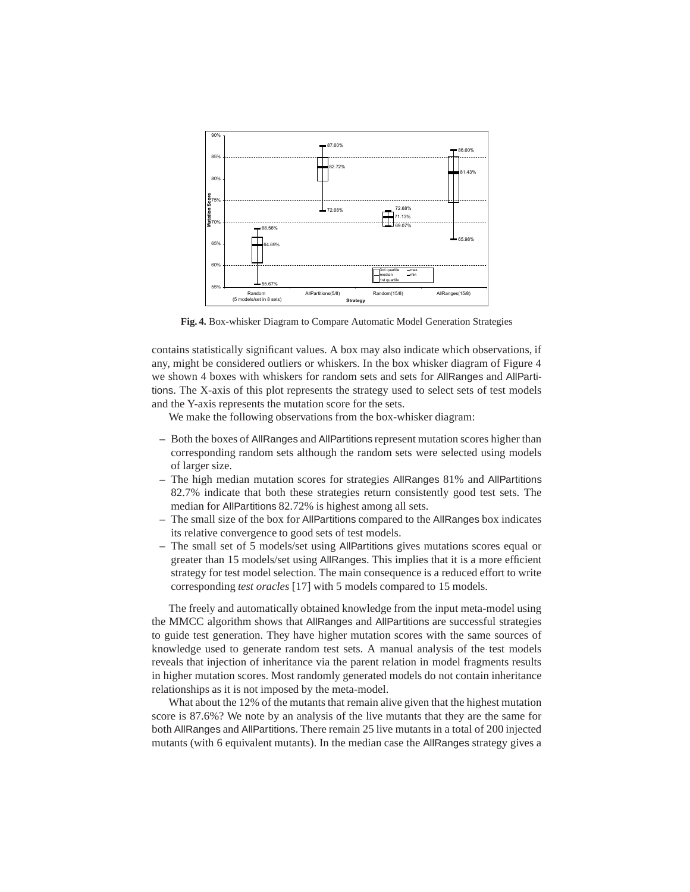

**Fig. 4.** Box-whisker Diagram to Compare Automatic Model Generation Strategies

contains statistically significant values. A box may also indicate which observations, if any, might be considered outliers or whiskers. In the box whisker diagram of Figure 4 we shown 4 boxes with whiskers for random sets and sets for AllRanges and AllPartitions. The X-axis of this plot represents the strategy used to select sets of test models and the Y-axis represents the mutation score for the sets.

We make the following observations from the box-whisker diagram:

- **–** Both the boxes of AllRanges and AllPartitions represent mutation scores higher than corresponding random sets although the random sets were selected using models of larger size.
- **–** The high median mutation scores for strategies AllRanges 81% and AllPartitions 82.7% indicate that both these strategies return consistently good test sets. The median for AllPartitions 82.72% is highest among all sets.
- **–** The small size of the box for AllPartitions compared to the AllRanges box indicates its relative convergence to good sets of test models.
- **–** The small set of 5 models/set using AllPartitions gives mutations scores equal or greater than 15 models/set using AllRanges. This implies that it is a more efficient strategy for test model selection. The main consequence is a reduced effort to write corresponding *test oracles* [17] with 5 models compared to 15 models.

The freely and automatically obtained knowledge from the input meta-model using the MMCC algorithm shows that AllRanges and AllPartitions are successful strategies to guide test generation. They have higher mutation scores with the same sources of knowledge used to generate random test sets. A manual analysis of the test models reveals that injection of inheritance via the parent relation in model fragments results in higher mutation scores. Most randomly generated models do not contain inheritance relationships as it is not imposed by the meta-model.

What about the 12% of the mutants that remain alive given that the highest mutation score is 87.6%? We note by an analysis of the live mutants that they are the same for both AllRanges and AllPartitions. There remain 25 live mutants in a total of 200 injected mutants (with 6 equivalent mutants). In the median case the AllRanges strategy gives a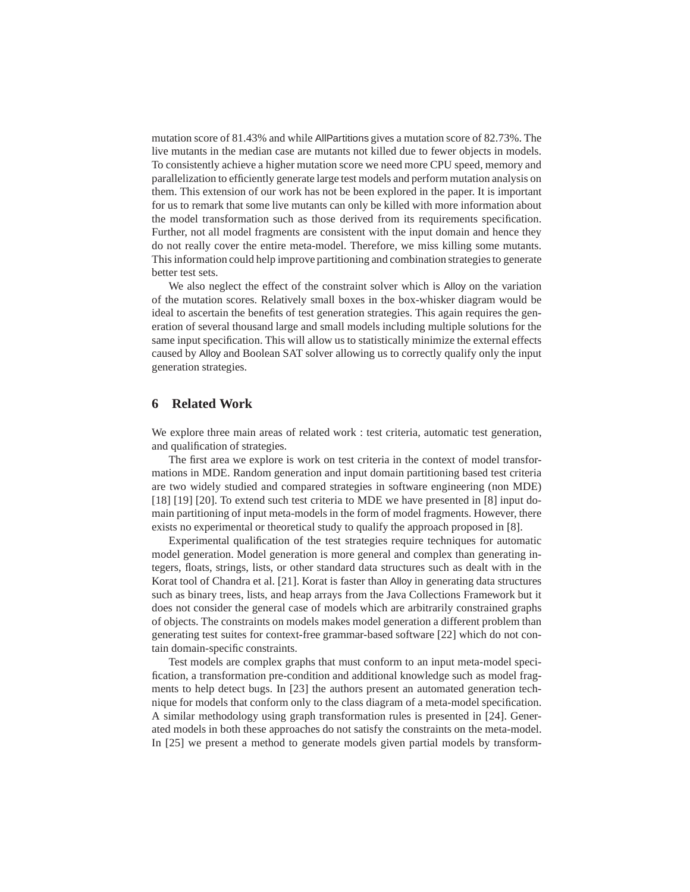mutation score of 81.43% and while AllPartitions gives a mutation score of 82.73%. The live mutants in the median case are mutants not killed due to fewer objects in models. To consistently achieve a higher mutation score we need more CPU speed, memory and parallelization to efficiently generate large test models and perform mutation analysis on them. This extension of our work has not be been explored in the paper. It is important for us to remark that some live mutants can only be killed with more information about the model transformation such as those derived from its requirements specification. Further, not all model fragments are consistent with the input domain and hence they do not really cover the entire meta-model. Therefore, we miss killing some mutants. This information could help improve partitioning and combination strategies to generate better test sets.

We also neglect the effect of the constraint solver which is Alloy on the variation of the mutation scores. Relatively small boxes in the box-whisker diagram would be ideal to ascertain the benefits of test generation strategies. This again requires the generation of several thousand large and small models including multiple solutions for the same input specification. This will allow us to statistically minimize the external effects caused by Alloy and Boolean SAT solver allowing us to correctly qualify only the input generation strategies.

## **6 Related Work**

We explore three main areas of related work : test criteria, automatic test generation, and qualification of strategies.

The first area we explore is work on test criteria in the context of model transformations in MDE. Random generation and input domain partitioning based test criteria are two widely studied and compared strategies in software engineering (non MDE) [18] [19] [20]. To extend such test criteria to MDE we have presented in [8] input domain partitioning of input meta-models in the form of model fragments. However, there exists no experimental or theoretical study to qualify the approach proposed in [8].

Experimental qualification of the test strategies require techniques for automatic model generation. Model generation is more general and complex than generating integers, floats, strings, lists, or other standard data structures such as dealt with in the Korat tool of Chandra et al. [21]. Korat is faster than Alloy in generating data structures such as binary trees, lists, and heap arrays from the Java Collections Framework but it does not consider the general case of models which are arbitrarily constrained graphs of objects. The constraints on models makes model generation a different problem than generating test suites for context-free grammar-based software [22] which do not contain domain-specific constraints.

Test models are complex graphs that must conform to an input meta-model specification, a transformation pre-condition and additional knowledge such as model fragments to help detect bugs. In [23] the authors present an automated generation technique for models that conform only to the class diagram of a meta-model specification. A similar methodology using graph transformation rules is presented in [24]. Generated models in both these approaches do not satisfy the constraints on the meta-model. In [25] we present a method to generate models given partial models by transform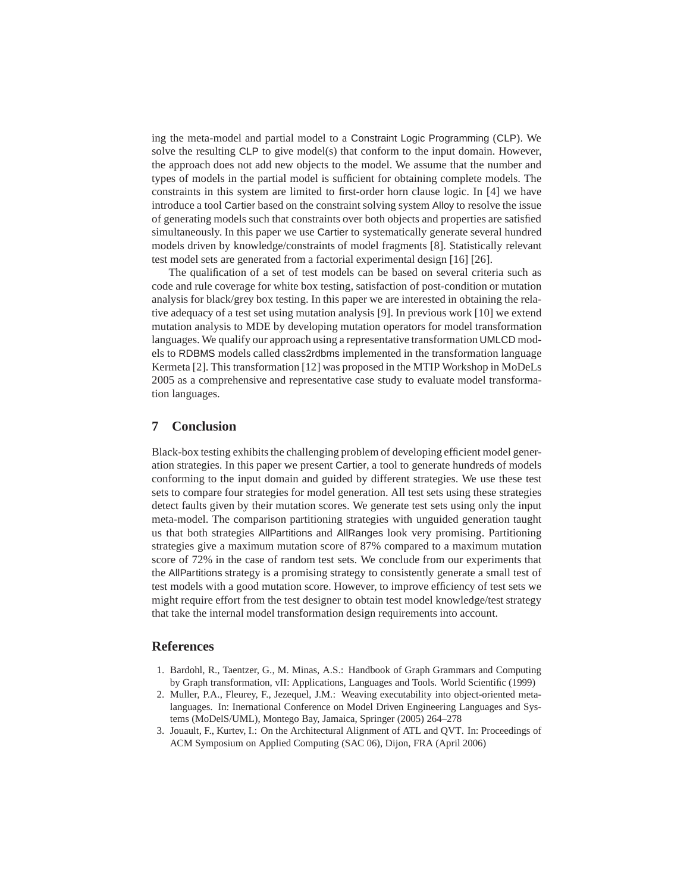ing the meta-model and partial model to a Constraint Logic Programming (CLP). We solve the resulting CLP to give model(s) that conform to the input domain. However, the approach does not add new objects to the model. We assume that the number and types of models in the partial model is sufficient for obtaining complete models. The constraints in this system are limited to first-order horn clause logic. In [4] we have introduce a tool Cartier based on the constraint solving system Alloy to resolve the issue of generating models such that constraints over both objects and properties are satisfied simultaneously. In this paper we use Cartier to systematically generate several hundred models driven by knowledge/constraints of model fragments [8]. Statistically relevant test model sets are generated from a factorial experimental design [16] [26].

The qualification of a set of test models can be based on several criteria such as code and rule coverage for white box testing, satisfaction of post-condition or mutation analysis for black/grey box testing. In this paper we are interested in obtaining the relative adequacy of a test set using mutation analysis [9]. In previous work [10] we extend mutation analysis to MDE by developing mutation operators for model transformation languages. We qualify our approach using a representative transformation UMLCD models to RDBMS models called class2rdbms implemented in the transformation language Kermeta [2]. This transformation [12] was proposed in the MTIP Workshop in MoDeLs 2005 as a comprehensive and representative case study to evaluate model transformation languages.

## **7 Conclusion**

Black-box testing exhibits the challenging problem of developing efficient model generation strategies. In this paper we present Cartier, a tool to generate hundreds of models conforming to the input domain and guided by different strategies. We use these test sets to compare four strategies for model generation. All test sets using these strategies detect faults given by their mutation scores. We generate test sets using only the input meta-model. The comparison partitioning strategies with unguided generation taught us that both strategies AllPartitions and AllRanges look very promising. Partitioning strategies give a maximum mutation score of 87% compared to a maximum mutation score of 72% in the case of random test sets. We conclude from our experiments that the AllPartitions strategy is a promising strategy to consistently generate a small test of test models with a good mutation score. However, to improve efficiency of test sets we might require effort from the test designer to obtain test model knowledge/test strategy that take the internal model transformation design requirements into account.

### **References**

- 1. Bardohl, R., Taentzer, G., M. Minas, A.S.: Handbook of Graph Grammars and Computing by Graph transformation, vII: Applications, Languages and Tools. World Scientific (1999)
- 2. Muller, P.A., Fleurey, F., Jezequel, J.M.: Weaving executability into object-oriented metalanguages. In: Inernational Conference on Model Driven Engineering Languages and Systems (MoDelS/UML), Montego Bay, Jamaica, Springer (2005) 264–278
- 3. Jouault, F., Kurtev, I.: On the Architectural Alignment of ATL and QVT. In: Proceedings of ACM Symposium on Applied Computing (SAC 06), Dijon, FRA (April 2006)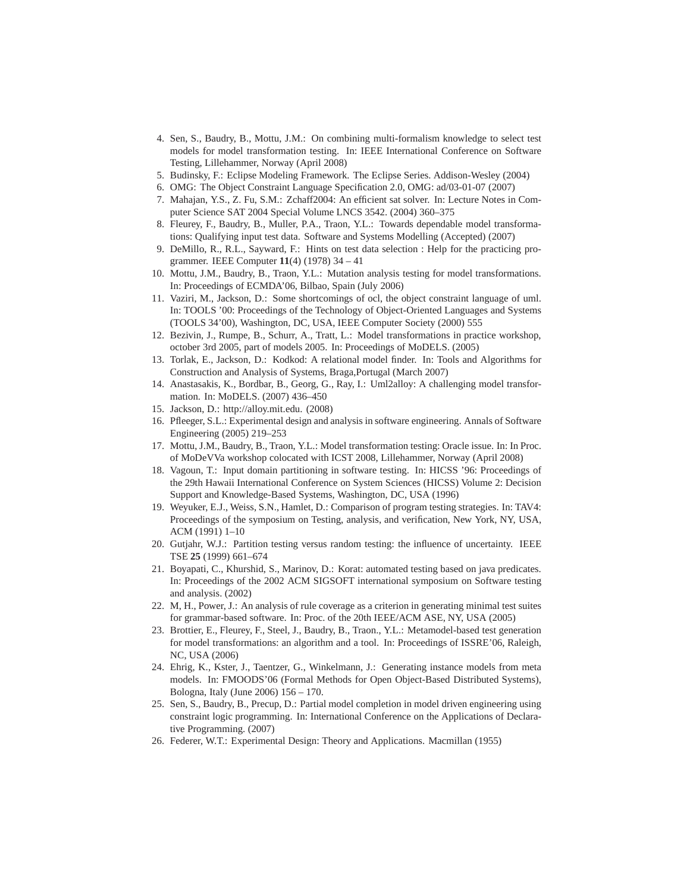- 4. Sen, S., Baudry, B., Mottu, J.M.: On combining multi-formalism knowledge to select test models for model transformation testing. In: IEEE International Conference on Software Testing, Lillehammer, Norway (April 2008)
- 5. Budinsky, F.: Eclipse Modeling Framework. The Eclipse Series. Addison-Wesley (2004)
- 6. OMG: The Object Constraint Language Specification 2.0, OMG: ad/03-01-07 (2007)
- 7. Mahajan, Y.S., Z. Fu, S.M.: Zchaff2004: An efficient sat solver. In: Lecture Notes in Computer Science SAT 2004 Special Volume LNCS 3542. (2004) 360–375
- 8. Fleurey, F., Baudry, B., Muller, P.A., Traon, Y.L.: Towards dependable model transformations: Qualifying input test data. Software and Systems Modelling (Accepted) (2007)
- 9. DeMillo, R., R.L., Sayward, F.: Hints on test data selection : Help for the practicing programmer. IEEE Computer **11**(4) (1978) 34 – 41
- 10. Mottu, J.M., Baudry, B., Traon, Y.L.: Mutation analysis testing for model transformations. In: Proceedings of ECMDA'06, Bilbao, Spain (July 2006)
- 11. Vaziri, M., Jackson, D.: Some shortcomings of ocl, the object constraint language of uml. In: TOOLS '00: Proceedings of the Technology of Object-Oriented Languages and Systems (TOOLS 34'00), Washington, DC, USA, IEEE Computer Society (2000) 555
- 12. Bezivin, J., Rumpe, B., Schurr, A., Tratt, L.: Model transformations in practice workshop, october 3rd 2005, part of models 2005. In: Proceedings of MoDELS. (2005)
- 13. Torlak, E., Jackson, D.: Kodkod: A relational model finder. In: Tools and Algorithms for Construction and Analysis of Systems, Braga,Portugal (March 2007)
- 14. Anastasakis, K., Bordbar, B., Georg, G., Ray, I.: Uml2alloy: A challenging model transformation. In: MoDELS. (2007) 436–450
- 15. Jackson, D.: http://alloy.mit.edu. (2008)
- 16. Pfleeger, S.L.: Experimental design and analysis in software engineering. Annals of Software Engineering (2005) 219–253
- 17. Mottu, J.M., Baudry, B., Traon, Y.L.: Model transformation testing: Oracle issue. In: In Proc. of MoDeVVa workshop colocated with ICST 2008, Lillehammer, Norway (April 2008)
- 18. Vagoun, T.: Input domain partitioning in software testing. In: HICSS '96: Proceedings of the 29th Hawaii International Conference on System Sciences (HICSS) Volume 2: Decision Support and Knowledge-Based Systems, Washington, DC, USA (1996)
- 19. Weyuker, E.J., Weiss, S.N., Hamlet, D.: Comparison of program testing strategies. In: TAV4: Proceedings of the symposium on Testing, analysis, and verification, New York, NY, USA, ACM (1991) 1–10
- 20. Gutjahr, W.J.: Partition testing versus random testing: the influence of uncertainty. IEEE TSE **25** (1999) 661–674
- 21. Boyapati, C., Khurshid, S., Marinov, D.: Korat: automated testing based on java predicates. In: Proceedings of the 2002 ACM SIGSOFT international symposium on Software testing and analysis. (2002)
- 22. M, H., Power, J.: An analysis of rule coverage as a criterion in generating minimal test suites for grammar-based software. In: Proc. of the 20th IEEE/ACM ASE, NY, USA (2005)
- 23. Brottier, E., Fleurey, F., Steel, J., Baudry, B., Traon., Y.L.: Metamodel-based test generation for model transformations: an algorithm and a tool. In: Proceedings of ISSRE'06, Raleigh, NC, USA (2006)
- 24. Ehrig, K., Kster, J., Taentzer, G., Winkelmann, J.: Generating instance models from meta models. In: FMOODS'06 (Formal Methods for Open Object-Based Distributed Systems), Bologna, Italy (June 2006) 156 – 170.
- 25. Sen, S., Baudry, B., Precup, D.: Partial model completion in model driven engineering using constraint logic programming. In: International Conference on the Applications of Declarative Programming. (2007)
- 26. Federer, W.T.: Experimental Design: Theory and Applications. Macmillan (1955)